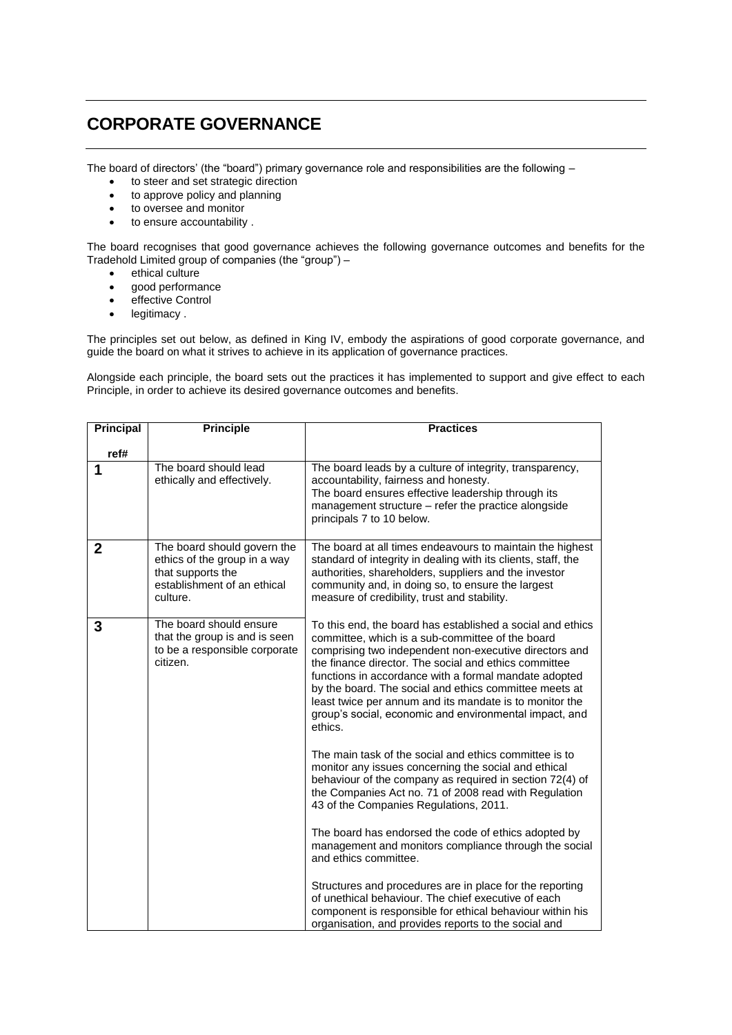## **CORPORATE GOVERNANCE**

The board of directors' (the "board") primary governance role and responsibilities are the following –

- to steer and set strategic direction
- to approve policy and planning
- to oversee and monitor
- to ensure accountability .

The board recognises that good governance achieves the following governance outcomes and benefits for the Tradehold Limited group of companies (the "group") –

- ethical culture
- good performance
- effective Control
- legitimacy.

The principles set out below, as defined in King IV, embody the aspirations of good corporate governance, and guide the board on what it strives to achieve in its application of governance practices.

Alongside each principle, the board sets out the practices it has implemented to support and give effect to each Principle, in order to achieve its desired governance outcomes and benefits.

| <b>Principal</b> | <b>Principle</b>                                                                                                            | <b>Practices</b>                                                                                                                                                                                                                                                                                                                                                                                                                                                                     |
|------------------|-----------------------------------------------------------------------------------------------------------------------------|--------------------------------------------------------------------------------------------------------------------------------------------------------------------------------------------------------------------------------------------------------------------------------------------------------------------------------------------------------------------------------------------------------------------------------------------------------------------------------------|
| ref#             |                                                                                                                             |                                                                                                                                                                                                                                                                                                                                                                                                                                                                                      |
| 1                | The board should lead<br>ethically and effectively.                                                                         | The board leads by a culture of integrity, transparency,<br>accountability, fairness and honesty.<br>The board ensures effective leadership through its<br>management structure - refer the practice alongside<br>principals 7 to 10 below.                                                                                                                                                                                                                                          |
| $\mathbf 2$      | The board should govern the<br>ethics of the group in a way<br>that supports the<br>establishment of an ethical<br>culture. | The board at all times endeavours to maintain the highest<br>standard of integrity in dealing with its clients, staff, the<br>authorities, shareholders, suppliers and the investor<br>community and, in doing so, to ensure the largest<br>measure of credibility, trust and stability.                                                                                                                                                                                             |
| 3                | The board should ensure<br>that the group is and is seen<br>to be a responsible corporate<br>citizen.                       | To this end, the board has established a social and ethics<br>committee, which is a sub-committee of the board<br>comprising two independent non-executive directors and<br>the finance director. The social and ethics committee<br>functions in accordance with a formal mandate adopted<br>by the board. The social and ethics committee meets at<br>least twice per annum and its mandate is to monitor the<br>group's social, economic and environmental impact, and<br>ethics. |
|                  |                                                                                                                             | The main task of the social and ethics committee is to<br>monitor any issues concerning the social and ethical<br>behaviour of the company as required in section 72(4) of<br>the Companies Act no. 71 of 2008 read with Regulation<br>43 of the Companies Regulations, 2011.                                                                                                                                                                                                        |
|                  |                                                                                                                             | The board has endorsed the code of ethics adopted by<br>management and monitors compliance through the social<br>and ethics committee.                                                                                                                                                                                                                                                                                                                                               |
|                  |                                                                                                                             | Structures and procedures are in place for the reporting<br>of unethical behaviour. The chief executive of each<br>component is responsible for ethical behaviour within his<br>organisation, and provides reports to the social and                                                                                                                                                                                                                                                 |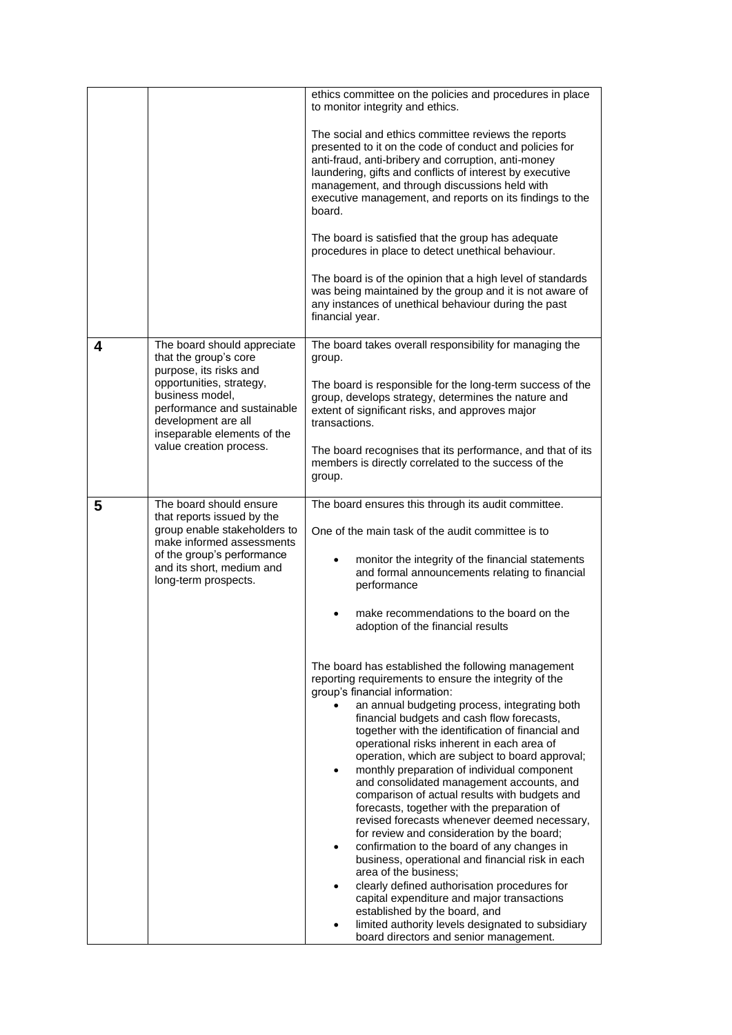|   |                                                                                                                                                                                                       | ethics committee on the policies and procedures in place<br>to monitor integrity and ethics.                                                                                                                                                                                                                                                                                                                                                                                                                                                                                                                                                                                                                                                                                                                                                                                                                                                                                                                                                           |
|---|-------------------------------------------------------------------------------------------------------------------------------------------------------------------------------------------------------|--------------------------------------------------------------------------------------------------------------------------------------------------------------------------------------------------------------------------------------------------------------------------------------------------------------------------------------------------------------------------------------------------------------------------------------------------------------------------------------------------------------------------------------------------------------------------------------------------------------------------------------------------------------------------------------------------------------------------------------------------------------------------------------------------------------------------------------------------------------------------------------------------------------------------------------------------------------------------------------------------------------------------------------------------------|
|   |                                                                                                                                                                                                       | The social and ethics committee reviews the reports<br>presented to it on the code of conduct and policies for<br>anti-fraud, anti-bribery and corruption, anti-money<br>laundering, gifts and conflicts of interest by executive<br>management, and through discussions held with<br>executive management, and reports on its findings to the<br>board.                                                                                                                                                                                                                                                                                                                                                                                                                                                                                                                                                                                                                                                                                               |
|   |                                                                                                                                                                                                       | The board is satisfied that the group has adequate<br>procedures in place to detect unethical behaviour.                                                                                                                                                                                                                                                                                                                                                                                                                                                                                                                                                                                                                                                                                                                                                                                                                                                                                                                                               |
|   |                                                                                                                                                                                                       | The board is of the opinion that a high level of standards<br>was being maintained by the group and it is not aware of<br>any instances of unethical behaviour during the past<br>financial year.                                                                                                                                                                                                                                                                                                                                                                                                                                                                                                                                                                                                                                                                                                                                                                                                                                                      |
| 4 | The board should appreciate<br>that the group's core                                                                                                                                                  | The board takes overall responsibility for managing the<br>group.                                                                                                                                                                                                                                                                                                                                                                                                                                                                                                                                                                                                                                                                                                                                                                                                                                                                                                                                                                                      |
|   | purpose, its risks and<br>opportunities, strategy,<br>business model,<br>performance and sustainable<br>development are all<br>inseparable elements of the                                            | The board is responsible for the long-term success of the<br>group, develops strategy, determines the nature and<br>extent of significant risks, and approves major<br>transactions.                                                                                                                                                                                                                                                                                                                                                                                                                                                                                                                                                                                                                                                                                                                                                                                                                                                                   |
|   | value creation process.                                                                                                                                                                               | The board recognises that its performance, and that of its<br>members is directly correlated to the success of the<br>group.                                                                                                                                                                                                                                                                                                                                                                                                                                                                                                                                                                                                                                                                                                                                                                                                                                                                                                                           |
| 5 | The board should ensure<br>that reports issued by the<br>group enable stakeholders to<br>make informed assessments<br>of the group's performance<br>and its short, medium and<br>long-term prospects. | The board ensures this through its audit committee.<br>One of the main task of the audit committee is to<br>monitor the integrity of the financial statements<br>٠<br>and formal announcements relating to financial<br>performance<br>make recommendations to the board on the<br>adoption of the financial results                                                                                                                                                                                                                                                                                                                                                                                                                                                                                                                                                                                                                                                                                                                                   |
|   |                                                                                                                                                                                                       | The board has established the following management<br>reporting requirements to ensure the integrity of the<br>group's financial information:<br>an annual budgeting process, integrating both<br>financial budgets and cash flow forecasts,<br>together with the identification of financial and<br>operational risks inherent in each area of<br>operation, which are subject to board approval;<br>monthly preparation of individual component<br>and consolidated management accounts, and<br>comparison of actual results with budgets and<br>forecasts, together with the preparation of<br>revised forecasts whenever deemed necessary,<br>for review and consideration by the board;<br>confirmation to the board of any changes in<br>business, operational and financial risk in each<br>area of the business;<br>clearly defined authorisation procedures for<br>capital expenditure and major transactions<br>established by the board, and<br>limited authority levels designated to subsidiary<br>board directors and senior management. |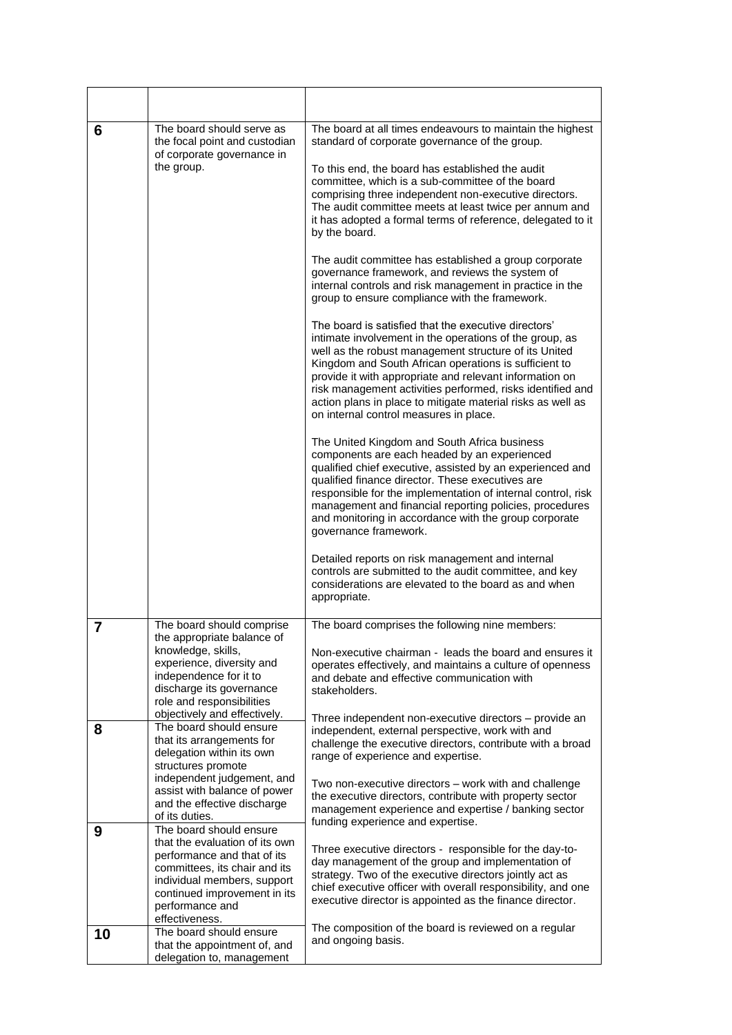| 6  | The board should serve as<br>the focal point and custodian<br>of corporate governance in                                                                                                                                      | The board at all times endeavours to maintain the highest<br>standard of corporate governance of the group.                                                                                                                                                                                                                                                                                                                                                         |
|----|-------------------------------------------------------------------------------------------------------------------------------------------------------------------------------------------------------------------------------|---------------------------------------------------------------------------------------------------------------------------------------------------------------------------------------------------------------------------------------------------------------------------------------------------------------------------------------------------------------------------------------------------------------------------------------------------------------------|
|    | the group.                                                                                                                                                                                                                    | To this end, the board has established the audit<br>committee, which is a sub-committee of the board<br>comprising three independent non-executive directors.<br>The audit committee meets at least twice per annum and<br>it has adopted a formal terms of reference, delegated to it<br>by the board.                                                                                                                                                             |
|    |                                                                                                                                                                                                                               | The audit committee has established a group corporate<br>governance framework, and reviews the system of<br>internal controls and risk management in practice in the<br>group to ensure compliance with the framework.                                                                                                                                                                                                                                              |
|    |                                                                                                                                                                                                                               | The board is satisfied that the executive directors'<br>intimate involvement in the operations of the group, as<br>well as the robust management structure of its United<br>Kingdom and South African operations is sufficient to<br>provide it with appropriate and relevant information on<br>risk management activities performed, risks identified and<br>action plans in place to mitigate material risks as well as<br>on internal control measures in place. |
|    |                                                                                                                                                                                                                               | The United Kingdom and South Africa business<br>components are each headed by an experienced<br>qualified chief executive, assisted by an experienced and<br>qualified finance director. These executives are<br>responsible for the implementation of internal control, risk<br>management and financial reporting policies, procedures<br>and monitoring in accordance with the group corporate<br>governance framework.                                          |
|    |                                                                                                                                                                                                                               | Detailed reports on risk management and internal<br>controls are submitted to the audit committee, and key<br>considerations are elevated to the board as and when<br>appropriate.                                                                                                                                                                                                                                                                                  |
| 7  | The board should comprise<br>the appropriate balance of                                                                                                                                                                       | The board comprises the following nine members:                                                                                                                                                                                                                                                                                                                                                                                                                     |
|    | knowledge, skills,<br>experience, diversity and<br>independence for it to<br>discharge its governance<br>role and responsibilities                                                                                            | Non-executive chairman - leads the board and ensures it<br>operates effectively, and maintains a culture of openness<br>and debate and effective communication with<br>stakeholders.                                                                                                                                                                                                                                                                                |
| 8  | objectively and effectively.<br>The board should ensure                                                                                                                                                                       | Three independent non-executive directors – provide an<br>independent, external perspective, work with and                                                                                                                                                                                                                                                                                                                                                          |
|    | that its arrangements for<br>delegation within its own                                                                                                                                                                        | challenge the executive directors, contribute with a broad                                                                                                                                                                                                                                                                                                                                                                                                          |
|    | structures promote<br>independent judgement, and                                                                                                                                                                              | range of experience and expertise.                                                                                                                                                                                                                                                                                                                                                                                                                                  |
|    | assist with balance of power<br>and the effective discharge<br>of its duties.                                                                                                                                                 | Two non-executive directors - work with and challenge<br>the executive directors, contribute with property sector<br>management experience and expertise / banking sector<br>funding experience and expertise.                                                                                                                                                                                                                                                      |
| 9  | The board should ensure<br>that the evaluation of its own<br>performance and that of its<br>committees, its chair and its<br>individual members, support<br>continued improvement in its<br>performance and<br>effectiveness. | Three executive directors - responsible for the day-to-<br>day management of the group and implementation of<br>strategy. Two of the executive directors jointly act as<br>chief executive officer with overall responsibility, and one<br>executive director is appointed as the finance director.                                                                                                                                                                 |
| 10 | The board should ensure<br>that the appointment of, and<br>delegation to, management                                                                                                                                          | The composition of the board is reviewed on a regular<br>and ongoing basis.                                                                                                                                                                                                                                                                                                                                                                                         |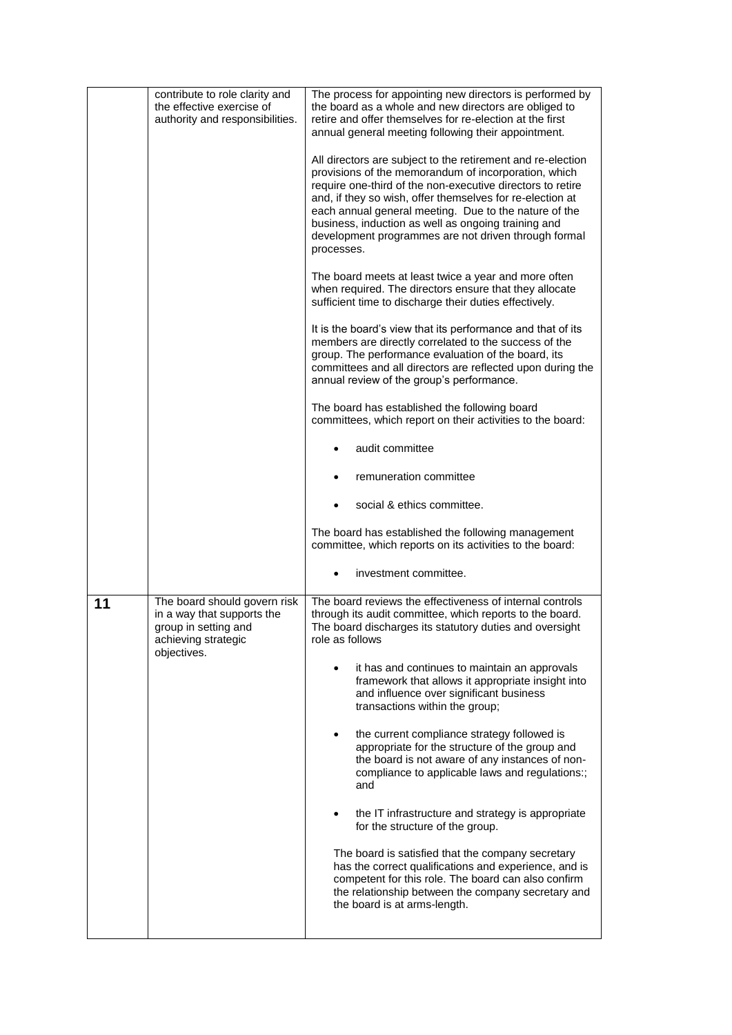|    | contribute to role clarity and<br>the effective exercise of<br>authority and responsibilities.                           | The process for appointing new directors is performed by<br>the board as a whole and new directors are obliged to<br>retire and offer themselves for re-election at the first<br>annual general meeting following their appointment.<br>All directors are subject to the retirement and re-election<br>provisions of the memorandum of incorporation, which<br>require one-third of the non-executive directors to retire<br>and, if they so wish, offer themselves for re-election at<br>each annual general meeting. Due to the nature of the<br>business, induction as well as ongoing training and<br>development programmes are not driven through formal<br>processes.<br>The board meets at least twice a year and more often<br>when required. The directors ensure that they allocate<br>sufficient time to discharge their duties effectively.<br>It is the board's view that its performance and that of its<br>members are directly correlated to the success of the<br>group. The performance evaluation of the board, its<br>committees and all directors are reflected upon during the<br>annual review of the group's performance.<br>The board has established the following board<br>committees, which report on their activities to the board:<br>audit committee<br>remuneration committee<br>social & ethics committee.<br>The board has established the following management |
|----|--------------------------------------------------------------------------------------------------------------------------|----------------------------------------------------------------------------------------------------------------------------------------------------------------------------------------------------------------------------------------------------------------------------------------------------------------------------------------------------------------------------------------------------------------------------------------------------------------------------------------------------------------------------------------------------------------------------------------------------------------------------------------------------------------------------------------------------------------------------------------------------------------------------------------------------------------------------------------------------------------------------------------------------------------------------------------------------------------------------------------------------------------------------------------------------------------------------------------------------------------------------------------------------------------------------------------------------------------------------------------------------------------------------------------------------------------------------------------------------------------------------------------------------|
|    |                                                                                                                          | committee, which reports on its activities to the board:<br>investment committee.<br>٠                                                                                                                                                                                                                                                                                                                                                                                                                                                                                                                                                                                                                                                                                                                                                                                                                                                                                                                                                                                                                                                                                                                                                                                                                                                                                                             |
| 11 | The board should govern risk<br>in a way that supports the<br>group in setting and<br>achieving strategic<br>objectives. | The board reviews the effectiveness of internal controls<br>through its audit committee, which reports to the board.<br>The board discharges its statutory duties and oversight<br>role as follows<br>it has and continues to maintain an approvals<br>framework that allows it appropriate insight into<br>and influence over significant business<br>transactions within the group;<br>the current compliance strategy followed is<br>appropriate for the structure of the group and<br>the board is not aware of any instances of non-<br>compliance to applicable laws and regulations:;<br>and<br>the IT infrastructure and strategy is appropriate<br>for the structure of the group.<br>The board is satisfied that the company secretary<br>has the correct qualifications and experience, and is<br>competent for this role. The board can also confirm<br>the relationship between the company secretary and<br>the board is at arms-length.                                                                                                                                                                                                                                                                                                                                                                                                                                             |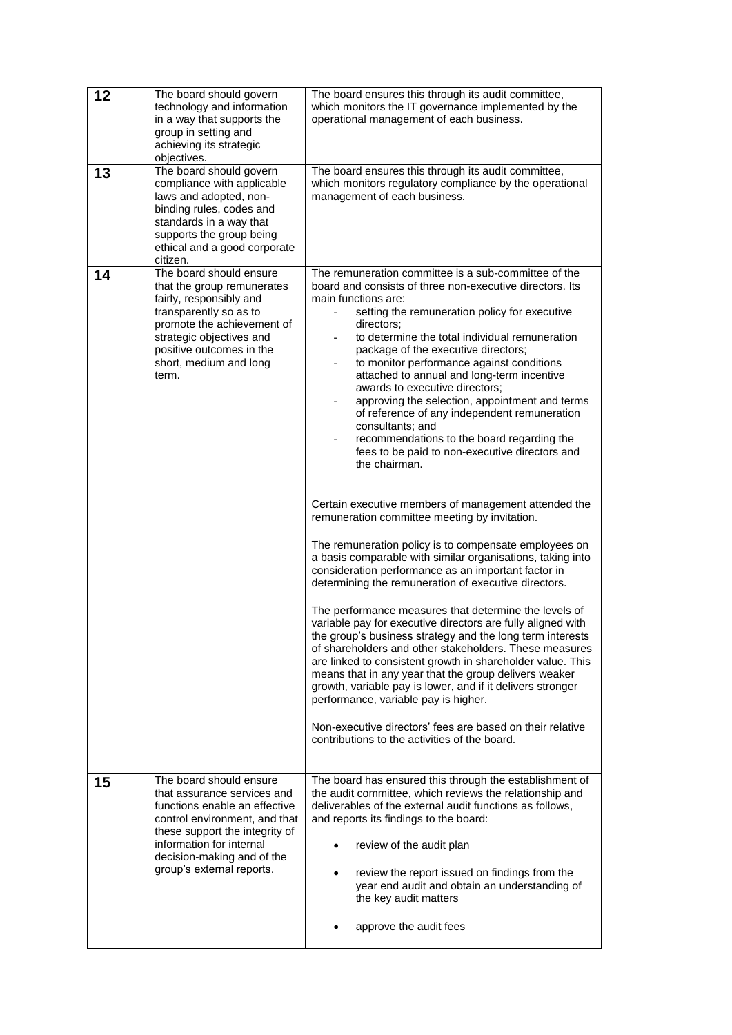| 12 | The board should govern<br>technology and information<br>in a way that supports the<br>group in setting and<br>achieving its strategic<br>objectives.                                                                                             | The board ensures this through its audit committee,<br>which monitors the IT governance implemented by the<br>operational management of each business.                                                                                                                                                                                                                                                                                                                                                                                                                                                                                                                                                                                                                                                                                                                                                                                                                                                                                                                                                                                                                                                                                                                                                                                                                                                                                                                                         |
|----|---------------------------------------------------------------------------------------------------------------------------------------------------------------------------------------------------------------------------------------------------|------------------------------------------------------------------------------------------------------------------------------------------------------------------------------------------------------------------------------------------------------------------------------------------------------------------------------------------------------------------------------------------------------------------------------------------------------------------------------------------------------------------------------------------------------------------------------------------------------------------------------------------------------------------------------------------------------------------------------------------------------------------------------------------------------------------------------------------------------------------------------------------------------------------------------------------------------------------------------------------------------------------------------------------------------------------------------------------------------------------------------------------------------------------------------------------------------------------------------------------------------------------------------------------------------------------------------------------------------------------------------------------------------------------------------------------------------------------------------------------------|
| 13 | The board should govern<br>compliance with applicable<br>laws and adopted, non-<br>binding rules, codes and<br>standards in a way that<br>supports the group being<br>ethical and a good corporate<br>citizen.                                    | The board ensures this through its audit committee,<br>which monitors regulatory compliance by the operational<br>management of each business.                                                                                                                                                                                                                                                                                                                                                                                                                                                                                                                                                                                                                                                                                                                                                                                                                                                                                                                                                                                                                                                                                                                                                                                                                                                                                                                                                 |
| 14 | The board should ensure<br>that the group remunerates<br>fairly, responsibly and<br>transparently so as to<br>promote the achievement of<br>strategic objectives and<br>positive outcomes in the<br>short, medium and long<br>term.               | The remuneration committee is a sub-committee of the<br>board and consists of three non-executive directors. Its<br>main functions are:<br>setting the remuneration policy for executive<br>directors:<br>to determine the total individual remuneration<br>package of the executive directors;<br>to monitor performance against conditions<br>attached to annual and long-term incentive<br>awards to executive directors;<br>approving the selection, appointment and terms<br>of reference of any independent remuneration<br>consultants; and<br>recommendations to the board regarding the<br>fees to be paid to non-executive directors and<br>the chairman.<br>Certain executive members of management attended the<br>remuneration committee meeting by invitation.<br>The remuneration policy is to compensate employees on<br>a basis comparable with similar organisations, taking into<br>consideration performance as an important factor in<br>determining the remuneration of executive directors.<br>The performance measures that determine the levels of<br>variable pay for executive directors are fully aligned with<br>the group's business strategy and the long term interests<br>of shareholders and other stakeholders. These measures<br>are linked to consistent growth in shareholder value. This<br>means that in any year that the group delivers weaker<br>growth, variable pay is lower, and if it delivers stronger<br>performance, variable pay is higher. |
|    |                                                                                                                                                                                                                                                   | Non-executive directors' fees are based on their relative<br>contributions to the activities of the board.                                                                                                                                                                                                                                                                                                                                                                                                                                                                                                                                                                                                                                                                                                                                                                                                                                                                                                                                                                                                                                                                                                                                                                                                                                                                                                                                                                                     |
| 15 | The board should ensure<br>that assurance services and<br>functions enable an effective<br>control environment, and that<br>these support the integrity of<br>information for internal<br>decision-making and of the<br>group's external reports. | The board has ensured this through the establishment of<br>the audit committee, which reviews the relationship and<br>deliverables of the external audit functions as follows,<br>and reports its findings to the board:<br>review of the audit plan<br>review the report issued on findings from the<br>year end audit and obtain an understanding of<br>the key audit matters<br>approve the audit fees                                                                                                                                                                                                                                                                                                                                                                                                                                                                                                                                                                                                                                                                                                                                                                                                                                                                                                                                                                                                                                                                                      |